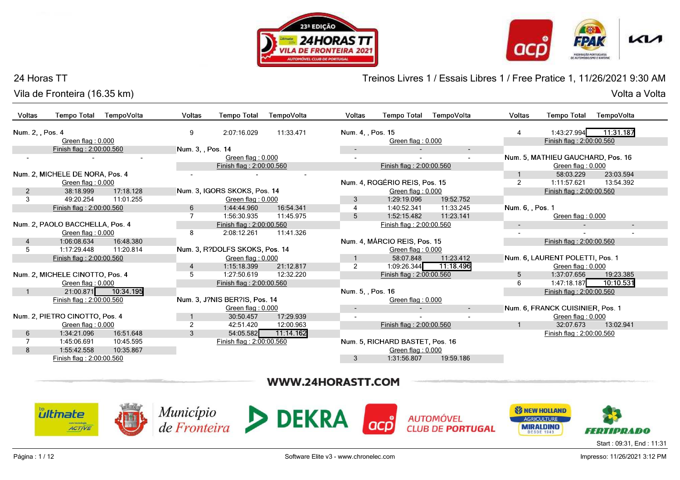





#### 24 Horas TT

Vila de Fronteira (16.35 km)Volta a Volta

Treinos Livres 1 / Essais Libres 1 / Free Pratice 1, 11/26/2021 9:30 AM

| <b>Voltas</b>    | <b>Tempo Total</b><br>TempoVolta | Voltas<br><b>Tempo Total</b>   | TempoVolta | <b>Voltas</b>            | <b>Tempo Total</b>              | TempoVolta | <b>Voltas</b>            | <b>Tempo Total</b>                | TempoVolta               |
|------------------|----------------------------------|--------------------------------|------------|--------------------------|---------------------------------|------------|--------------------------|-----------------------------------|--------------------------|
| Num. 2, , Pos. 4 |                                  | 9<br>2:07:16.029               | 11:33.471  | Num. 4, , Pos. 15        |                                 |            |                          | 1:43:27.994                       | 11:31.187                |
|                  | Green flag: 0.000                |                                |            |                          | Green flag: 0.000               |            |                          | Finish flag: 2:00:00.560          |                          |
|                  | Finish flag: 2:00:00.560         | Num. 3, , Pos. 14              |            | $\overline{\phantom{a}}$ |                                 | $\sim$     |                          |                                   |                          |
|                  |                                  | Green flag: 0.000              |            |                          |                                 |            |                          | Num. 5, MATHIEU GAUCHARD, Pos. 16 |                          |
|                  |                                  | Finish flag: 2:00:00.560       |            |                          | Finish flag: 2:00:00.560        |            |                          | Green flag: 0.000                 |                          |
|                  | Num. 2, MICHELE DE NORA, Pos. 4  | $\overline{\phantom{a}}$       | ٠          |                          |                                 |            |                          | 58:03.229                         | 23:03.594                |
|                  | Green flag: 0.000                |                                |            |                          | Num. 4, ROGÉRIO REIS, Pos. 15   |            | 2                        | 1:11:57.621                       | 13:54.392                |
| 2                | 17:18.128<br>38:18.999           | Num. 3, IGORS SKOKS, Pos. 14   |            |                          | Green flag: 0.000               |            |                          | Finish flag: 2:00:00.560          |                          |
| 3                | 11:01.255<br>49:20.254           | Green flag: 0.000              |            | 3                        | 1:29:19.096                     | 19:52.752  |                          |                                   |                          |
|                  | Finish flag: 2:00:00.560         | 6<br>1:44:44.960               | 16:54.341  |                          | 1:40:52.341                     | 11:33.245  | Num. 6, , Pos. 1         |                                   |                          |
|                  |                                  | 7<br>1:56:30.935               | 11:45.975  | 5                        | 1:52:15.482                     | 11:23.141  |                          | Green flag: 0.000                 |                          |
|                  | Num. 2, PAOLO BACCHELLA, Pos. 4  | Finish flag: 2:00:00.560       |            |                          | Finish flag: 2:00:00.560        |            | $\sim$                   | $\overline{a}$                    | $\overline{\phantom{a}}$ |
|                  | Green flag: 0.000                | 8<br>2:08:12.261               | 11:41.326  |                          |                                 |            | $\overline{\phantom{a}}$ |                                   |                          |
| $\overline{4}$   | 1:06:08.634<br>16:48.380         |                                |            |                          | Num. 4, MÁRCIO REIS, Pos. 15    |            |                          | Finish flag: 2:00:00.560          |                          |
| 5                | 1:17:29.448<br>11:20.814         | Num. 3, R?DOLFS SKOKS, Pos. 14 |            |                          | Green flag: 0.000               |            |                          |                                   |                          |
|                  | Finish flag: 2:00:00.560         | Green flag: 0.000              |            |                          | 58:07.848                       | 11:23.412  |                          | Num. 6, LAURENT POLETTI, Pos. 1   |                          |
|                  |                                  | 1:15:18.399<br>$\overline{4}$  | 21:12.817  | 2                        | 1:09:26.344                     | 11:18.496  |                          | Green flag: 0.000                 |                          |
|                  | Num. 2, MICHELE CINOTTO, Pos. 4  | 5<br>1:27:50.619               | 12:32.220  |                          | Finish flag: 2:00:00.560        |            | 5                        | 1:37:07.656                       | 19:23.385                |
|                  | Green flag: 0.000                | Finish flag: 2:00:00.560       |            |                          |                                 |            | 6                        | 1:47:18.187                       | 10:10.531                |
|                  | 10:34.195<br>21:00.871           |                                |            | Num. 5, , Pos. 16        |                                 |            |                          | Finish flag: 2:00:00.560          |                          |
|                  | Finish flag: 2:00:00.560         | Num. 3, J?NIS BER?IS, Pos. 14  |            |                          | Green flag: 0.000               |            |                          |                                   |                          |
|                  |                                  | Green flag: 0.000              |            | $\overline{\phantom{a}}$ |                                 | ٠          |                          | Num. 6, FRANCK CUISINIER, Pos. 1  |                          |
|                  | Num. 2, PIETRO CINOTTO, Pos. 4   | 30:50.457                      | 17:29.939  | $\sim$                   |                                 |            |                          | Green flag: 0.000                 |                          |
|                  | Green flag: 0.000                | $\overline{2}$<br>42:51.420    | 12:00.963  |                          | Finish flag: 2:00:00.560        |            |                          | 32:07.673                         | 13:02.941                |
| 6                | 16:51.648<br>1:34:21.096         | 3<br>54:05.582                 | 11:14.162  |                          |                                 |            |                          | Finish flag: 2:00:00.560          |                          |
|                  | 1:45:06.691<br>10:45.595         | Finish flag: 2:00:00.560       |            |                          | Num. 5. RICHARD BASTET, Pos. 16 |            |                          |                                   |                          |
| 8                | 1:55:42.558<br>10:35.867         |                                |            |                          | Green flag: 0.000               |            |                          |                                   |                          |
|                  | Finish flag: 2:00:00.560         |                                |            | 3                        | 1:31:56.807                     | 19:59.186  |                          |                                   |                          |

# WWW.24HORASTT.COM

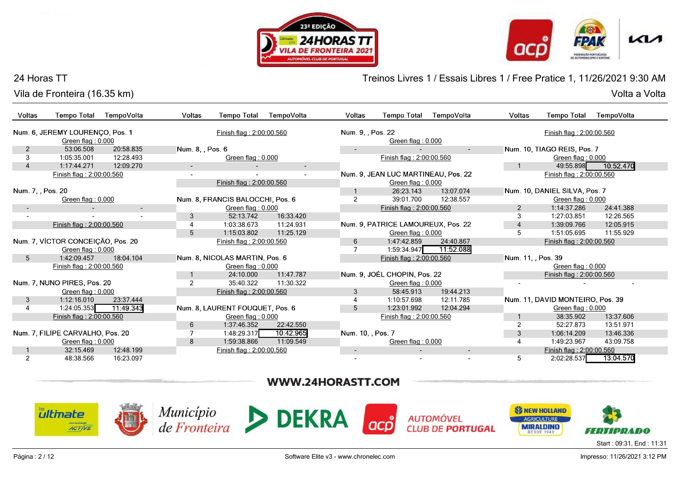



## 24 Horas TT

Vila de Fronteira (16.35 km)Volta a Volta

Treinos Livres 1 / Essais Libres 1 / Free Pratice 1, 11/26/2021 9:30 AM

| Voltas                   | <b>Tempo Total</b>                | TempoVolta               | <b>Voltas</b>    | <b>Tempo Total</b>               | TempoVolta | <b>Voltas</b>     | <b>Tempo Total</b>                  | TempoVolta               | Voltas             | <b>Tempo Total</b>               | TempoVolta |  |
|--------------------------|-----------------------------------|--------------------------|------------------|----------------------------------|------------|-------------------|-------------------------------------|--------------------------|--------------------|----------------------------------|------------|--|
|                          | Num. 6, JEREMY LOURENCO, Pos. 1   |                          |                  | Finish flag: 2:00:00.560         |            | Num. 9, Pos. 22   |                                     |                          |                    | Finish flag: 2:00:00.560         |            |  |
|                          | Green flag: 0.000                 |                          |                  |                                  |            |                   | Green flag: 0.000                   |                          |                    |                                  |            |  |
| 2                        | 53:06.508                         | 20:58.835                | Num. 8, , Pos. 6 |                                  |            |                   |                                     | $\sim$                   |                    | Num. 10, TIAGO REIS, Pos. 7      |            |  |
| 3                        | 1:05:35.001                       | 12:28.493                |                  | Green flag: 0.000                |            |                   | Finish flag: 2:00:00.560            |                          |                    | Green flag: 0.000                |            |  |
|                          |                                   | 12:09.270                |                  |                                  |            |                   |                                     |                          |                    |                                  | 10:52.470  |  |
| $\overline{4}$           | 1:17:44.271                       |                          |                  |                                  | $\sim$     |                   |                                     |                          |                    | 49:55.898                        |            |  |
|                          | Finish flag: 2:00:00.560          |                          |                  |                                  |            |                   | Num. 9. JEAN LUC MARTINEAU, Pos. 22 |                          |                    | Finish flag: 2:00:00.560         |            |  |
|                          |                                   |                          |                  | Finish flag: 2:00:00.560         |            |                   | Green flag: 0.000                   |                          |                    |                                  |            |  |
| Num. 7, , Pos. 20        |                                   |                          |                  |                                  |            |                   | 26:23.143                           | 13:07.074                |                    | Num. 10, DANIEL SILVA, Pos. 7    |            |  |
|                          | Green flag: 0.000                 |                          |                  | Num. 8, FRANCIS BALOCCHI, Pos. 6 |            | $\overline{2}$    | 39:01.700                           | 12:38.557                |                    | Green flag: 0.000                |            |  |
|                          |                                   | $\overline{\phantom{a}}$ |                  | Green flag: 0.000                |            |                   | Finish flag: 2:00:00.560            |                          | 2                  | 1:14:37.286                      | 24:41.388  |  |
| $\overline{\phantom{a}}$ |                                   | $\blacksquare$           | 3                | 52:13.742                        | 16:33.420  |                   |                                     |                          | 3                  | 1:27:03.851                      | 12:26.565  |  |
|                          | Finish flag: 2:00:00.560          |                          | 4                | 1:03:38.673                      | 11:24.931  |                   | Num. 9, PATRICE LAMOUREUX, Pos. 22  |                          | $\overline{4}$     | 1:39:09.766                      | 12:05.915  |  |
|                          |                                   |                          | 5                | 1:15:03.802                      | 11:25.129  |                   | Green flag: 0.000                   |                          | 5                  | 1:51:05.695                      | 11:55.929  |  |
|                          | Num. 7, VÍCTOR CONCEIÇÃO, Pos. 20 |                          |                  | Finish flag: 2:00:00.560         |            | 6                 | 1:47:42.859                         | 24:40.867                |                    | Finish flag: 2:00:00.560         |            |  |
|                          | Green flag: 0.000                 |                          |                  |                                  |            |                   | 1:59:34.947                         | 11:52.088                |                    |                                  |            |  |
| 5                        | 1:42:09.457                       | 18:04.104                |                  | Num. 8, NICOLAS MARTIN, Pos. 6   |            |                   | Finish flag: 2:00:00.560            |                          | Num. 11, , Pos. 39 |                                  |            |  |
|                          | Finish flag: 2:00:00.560          |                          |                  | Green flag: $0.000$              |            |                   |                                     |                          |                    | Green flag: 0.000                |            |  |
|                          |                                   |                          |                  | 24:10.000                        | 11:47.787  |                   | Num. 9, JOÉL CHOPIN, Pos. 22        |                          |                    | Finish flag: 2:00:00.560         |            |  |
|                          | Num. 7, NUNO PIRES, Pos. 20       |                          | $\overline{2}$   | 35:40.322                        | 11:30.322  |                   | Green flag: 0.000                   |                          |                    |                                  |            |  |
|                          | Green flag: $0.000$               |                          |                  | Finish flag: 2:00:00.560         |            | 3                 | 58:45.913                           | 19:44.213                |                    |                                  |            |  |
| 3                        | 1:12:16.010                       | 23:37.444                |                  |                                  |            |                   | 1:10:57.698                         | 12:11.785                |                    | Num. 11, DAVID MONTEIRO, Pos. 39 |            |  |
| 4                        | 1:24:05.353                       | 11:49.343                |                  | Num. 8, LAURENT FOUQUET, Pos. 6  |            | 5                 | 1:23:01.992                         | 12:04.294                |                    | Green flag: 0.000                |            |  |
|                          | Finish flag: 2:00:00.560          |                          |                  | Green flag: 0.000                |            |                   | Finish flag: 2:00:00.560            |                          |                    | 38:35.902                        | 13:37.606  |  |
|                          |                                   |                          | 6                | 1:37:46.352                      | 22:42.550  |                   |                                     |                          | $\overline{2}$     | 52:27.873                        | 13:51.971  |  |
|                          | Num. 7. FILIPE CARVALHO, Pos. 20  |                          | 7                | 1:48:29.317                      | 10:42.965  | Num. 10, , Pos. 7 |                                     |                          | 3                  | 1:06:14.209                      | 13:46.336  |  |
|                          | Green flag: 0.000                 |                          | 8                | 1:59:38.866                      | 11:09.549  |                   | Green flag: 0.000                   |                          |                    | 1:49:23.967                      | 43:09.758  |  |
|                          | 32:15.469                         | 12:48.199                |                  | Finish flag: 2:00:00.560         |            | $\sim$            |                                     | $\overline{\phantom{a}}$ |                    | Finish flag: 2:00:00.560         |            |  |
| 2                        | 48:38.566                         | 16:23.097                |                  |                                  |            |                   |                                     |                          | 5                  | 2:02:28.537                      | 13:04.570  |  |
|                          |                                   |                          |                  |                                  |            |                   |                                     |                          |                    |                                  |            |  |

# WWW.24HORASTT.COM

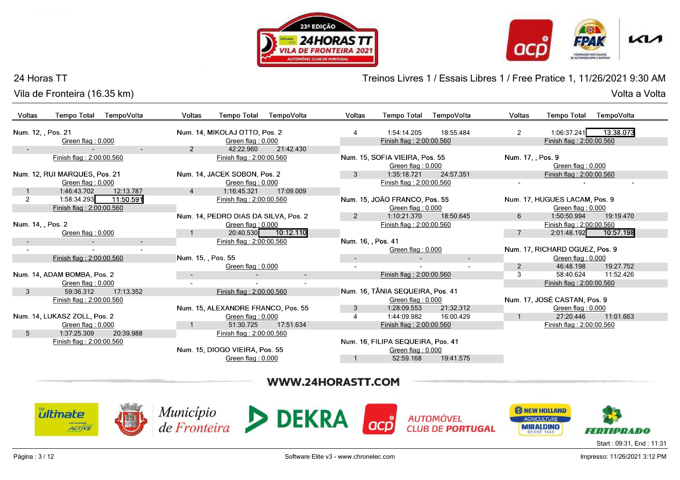





## 24 Horas TT

Vila de Fronteira (16.35 km)

Treinos Livres 1 / Essais Libres 1 / Free Pratice 1, 11/26/2021 9:30 AM

Volta a Volta Volta a Volta

| <b>Tempo Total</b><br>Voltas<br>TempoVolta                | TempoVolta<br><b>Voltas</b><br><b>Tempo Total</b> | <b>Voltas</b><br><b>Tempo Total</b><br>TempoVolta    | Voltas<br>TempoVolta<br><b>Tempo Total</b>         |
|-----------------------------------------------------------|---------------------------------------------------|------------------------------------------------------|----------------------------------------------------|
| Num. 12, Pos. 21                                          | Num. 14, MIKOLAJ OTTO, Pos. 2                     | 1:54:14.205<br>18:55.484                             | 1:06:37.241<br>13:38.073<br>$\overline{2}$         |
| Green flag: 0.000                                         | Green flag: 0.000                                 | Finish flag: 2:00:00.560                             | Finish flag: 2:00:00.560                           |
| $\sim$                                                    | 2<br>42:22.960<br>21:42.430                       |                                                      |                                                    |
| Finish flag: 2:00:00.560                                  | Finish flag: 2:00:00.560                          | Num. 15, SOFIA VIEIRA, Pos. 55                       | Num. 17, Pos. 9                                    |
|                                                           |                                                   | Green flag: 0.000                                    | Green flag: 0.000                                  |
| Num. 12, RUI MARQUES, Pos. 21                             | Num. 14, JACEK SOBON, Pos. 2                      | 24:57.351<br>1:35:18.721<br>3                        | Finish flag: 2:00:00.560                           |
| Green flag: 0.000                                         | Green flag: 0.000                                 | Finish flag: 2:00:00.560                             |                                                    |
| 1:46:43.702<br>12:13.787                                  | 17:09.009<br>1:16:45.321<br>$\overline{4}$        |                                                      |                                                    |
| 1:58:34.293<br>2<br>11:50.591<br>Finish flag: 2:00:00.560 | Finish flag: 2:00:00.560                          | Num. 15, JOÃO FRANCO, Pos. 55<br>Green flag: $0.000$ | Num. 17, HUGUES LACAM, Pos. 9<br>Green flag: 0.000 |
|                                                           | Num. 14, PEDRO DIAS DA SILVA, Pos. 2              | 18:50.645<br>1:10:21.370<br>2                        | 1:50:50.994<br>19:19.470<br>6                      |
| Num. 14, Pos. 2                                           | Green flag: 0.000                                 | Finish flag: 2:00:00.560                             | Finish flag: 2:00:00.560                           |
| Green flag: 0.000                                         | 20:40.530 10:12.110                               |                                                      | 10:57.198<br>2:01:48.192                           |
| $\sim$<br>$\sim$                                          | Finish flag: 2:00:00.560                          | Num. 16. . Pos. 41                                   |                                                    |
|                                                           |                                                   | Green flag: 0.000                                    | Num. 17, RICHARD OGUEZ, Pos. 9                     |
| Finish flag: 2:00:00.560                                  | Num. 15, , Pos. 55                                | $\sim$<br>$\overline{\phantom{a}}$                   | Green flag: 0.000                                  |
|                                                           | Green flag: 0.000                                 | $\overline{\phantom{a}}$                             | 46:48.198<br>2<br>19:27.752                        |
| Num. 14, ADAM BOMBA, Pos. 2                               | $\overline{\phantom{a}}$                          | Finish flag: 2:00:00.560                             | 3<br>58:40.624<br>11:52.426                        |
| Green flag: 0.000                                         |                                                   |                                                      | Finish flag: 2:00:00.560                           |
| 17:13.352<br>3<br>59:36.312                               | Finish flag: 2:00:00.560                          | Num. 16, TÂNIA SEQUEIRA, Pos. 41                     |                                                    |
| Finish flag: 2:00:00.560                                  |                                                   | Green flag: 0.000                                    | Num. 17, JOSÉ CASTAN, Pos. 9                       |
|                                                           | Num. 15, ALEXANDRE FRANCO, Pos. 55                | 21:32.312<br>1:28:09.553<br>3                        | Green flag: 0.000                                  |
| Num. 14, LUKASZ ZOLL, Pos. 2                              | Green flag: 0.000                                 | 1:44:09.982<br>16:00.429                             | 27:20.446<br>11:01.663                             |
| Green flag: 0.000                                         | 17:51.634<br>51:30.725                            | Finish flag: 2:00:00.560                             | Finish flag: 2:00:00.560                           |
| $5^{\circ}$<br>1:37:25.309<br>20:39.988                   | Finish flag: 2:00:00.560                          |                                                      |                                                    |
| Finish flag: 2:00:00.560                                  |                                                   | Num. 16, FILIPA SEQUEIRA, Pos. 41                    |                                                    |
|                                                           | Num. 15, DIOGO VIEIRA, Pos. 55                    | Green flag: 0.000                                    |                                                    |
|                                                           |                                                   | 19:41.575<br>52:59.168                               |                                                    |
|                                                           | Green flag: 0.000                                 |                                                      |                                                    |

# WWW.24HORASTT.COM









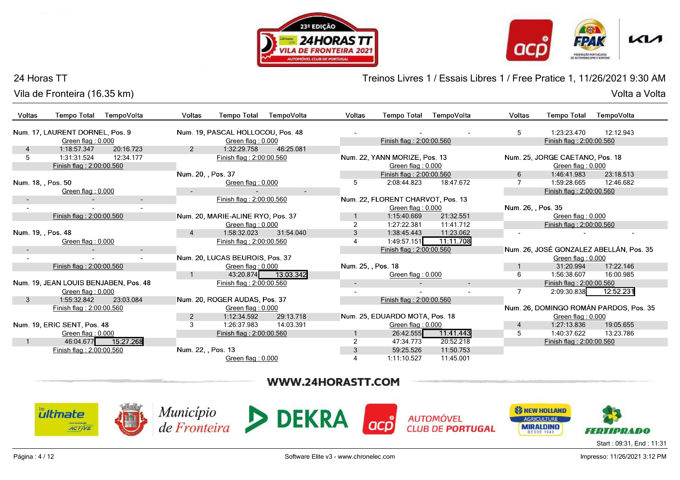





## 24 Horas TT

Vila de Fronteira (16.35 km)Volta a Volta

Treinos Livres 1 / Essais Libres 1 / Free Pratice 1, 11/26/2021 9:30 AM

| Voltas             | <b>Tempo Total</b>                      | TempoVolta               | <b>Voltas</b>      | <b>Tempo Total</b>                                 | TempoVolta          | <b>Voltas</b>      | <b>Tempo Total</b>                                 | TempoVolta               | Voltas             | <b>Tempo Total</b>                                   | TempoVolta                              |
|--------------------|-----------------------------------------|--------------------------|--------------------|----------------------------------------------------|---------------------|--------------------|----------------------------------------------------|--------------------------|--------------------|------------------------------------------------------|-----------------------------------------|
|                    | Num. 17. LAURENT DORNEL. Pos. 9         |                          |                    | Num. 19. PASCAL HOLLOCOU, Pos. 48                  |                     |                    |                                                    |                          | 5                  | 1:23:23.470                                          | 12:12.943                               |
|                    | Green flag: 0.000                       |                          |                    | Green flag: 0.000                                  |                     |                    | Finish flag: 2:00:00.560                           |                          |                    | Finish flag: 2:00:00.560                             |                                         |
| 4                  | 1:18:57.347                             | 20:16.723                | 2                  | 1:32:29.758                                        | 46:25.081           |                    |                                                    |                          |                    |                                                      |                                         |
| 5                  | 1:31:31.524<br>Finish flag: 2:00:00.560 | 12:34.177                |                    | Finish flag: 2:00:00.560                           |                     |                    | Num. 22, YANN MORIZE, Pos. 13<br>Green flag: 0.000 |                          |                    | Num. 25, JORGE CAETANO, Pos. 18<br>Green flag: 0.000 |                                         |
|                    |                                         |                          | Num. 20, , Pos. 37 |                                                    |                     |                    | Finish flag: 2:00:00.560                           |                          | 6                  | 1:46:41.983                                          | 23:18.513                               |
| Num. 18, , Pos. 50 |                                         |                          |                    | Green flag: 0.000                                  |                     | 5                  | 2:08:44.823                                        | 18:47.672                | $\overline{7}$     | 1:59:28.665                                          | 12:46.682                               |
|                    | Green flag: 0.000                       |                          |                    |                                                    | $\sim$              |                    |                                                    |                          |                    | Finish flag: 2:00:00.560                             |                                         |
|                    |                                         |                          |                    | Finish flag: 2:00:00.560                           |                     |                    | Num. 22, FLORENT CHARVOT, Pos. 13                  |                          |                    |                                                      |                                         |
|                    |                                         |                          |                    |                                                    |                     |                    | Green flag: 0.000                                  |                          | Num. 26, , Pos. 35 |                                                      |                                         |
|                    | Finish flag: 2:00:00.560                |                          |                    | Num. 20, MARIE-ALINE RYO, Pos. 37                  |                     |                    | 1:15:40.669                                        | 21:32.551                |                    | Green flag: 0.000                                    |                                         |
|                    |                                         |                          |                    | Green flag: 0.000                                  |                     | $\overline{2}$     | 1:27:22.381                                        | 11:41.712                |                    | Finish flag: 2:00:00.560                             |                                         |
| Num. 19, , Pos. 48 |                                         |                          |                    | 1:58:32.023                                        | 31:54.040           | 3                  | 1:38:45.443                                        | 11:23.062                |                    |                                                      |                                         |
|                    | Green flag: 0.000                       |                          |                    | Finish flag: 2:00:00.560                           |                     | 4                  | 1:49:57.151                                        | 11:11.708                |                    |                                                      |                                         |
|                    |                                         | $\overline{\phantom{a}}$ |                    |                                                    |                     |                    | Finish flag: 2:00:00.560                           |                          |                    |                                                      | Num. 26, JOSÉ GONZALEZ ABELLÁN, Pos. 35 |
|                    | $\sim$                                  | $\sim$                   |                    | Num. 20, LUCAS BEUROIS, Pos. 37                    |                     |                    |                                                    |                          |                    | Green flag: 0.000                                    |                                         |
|                    | Finish flag: 2:00:00.560                |                          |                    | Green flag: 0.000                                  |                     | Num. 25, , Pos. 18 |                                                    |                          |                    | 31:20.994                                            | 17:22.146                               |
|                    |                                         |                          |                    |                                                    | 43:20.874 13:03.342 |                    | Green flag: 0.000                                  |                          | 6                  | 1:56:38.607                                          | 16:00.985                               |
|                    | Num. 19, JEAN LOUIS BENJABEN, Pos. 48   |                          |                    | Finish flag: 2:00:00.560                           |                     | $\sim$             |                                                    | $\overline{\phantom{a}}$ |                    | Finish flag: 2:00:00.560                             |                                         |
|                    | Green flag: 0.000                       |                          |                    |                                                    |                     |                    |                                                    |                          |                    | 2:09:30.838                                          | 12:52.231                               |
| $\mathbf{3}$       | 1:55:32.842<br>Finish flag: 2:00:00.560 | 23:03.084                |                    | Num. 20, ROGER AUDAS, Pos. 37<br>Green flag: 0.000 |                     |                    | Finish flag: 2:00:00.560                           |                          |                    |                                                      | Num. 26, DOMINGO ROMÁN PARDOS, Pos. 35  |
|                    |                                         |                          | 2                  | 1:12:34.592                                        | 29:13.718           |                    | Num. 25, EDUARDO MOTA, Pos. 18                     |                          |                    | Green flag: 0.000                                    |                                         |
|                    | Num. 19, ERIC SENT, Pos. 48             |                          | 3                  | 1:26:37.983                                        | 14:03.391           |                    | Green flag: 0.000                                  |                          | 4                  | 1:27:13.836                                          | 19:05.655                               |
|                    | Green flag: 0.000                       |                          |                    | Finish flag: 2:00:00.560                           |                     |                    | 26:42.555                                          | 11:41.443                | 5                  | 1:40:37.622                                          | 13:23.786                               |
|                    | 46:04.677                               | 15:27.268                |                    |                                                    |                     |                    | 47:34.773                                          | 20:52.218                |                    | Finish flag: 2:00:00.560                             |                                         |
|                    | Finish flag: 2:00:00.560                |                          | Num. 22, , Pos. 13 |                                                    |                     | 3                  | 59:25.526                                          | 11:50.753                |                    |                                                      |                                         |
|                    |                                         |                          |                    | Green flag: 0.000                                  |                     | 4                  | 1:11:10.527                                        | 11:45.001                |                    |                                                      |                                         |

# WWW.24HORASTT.COM



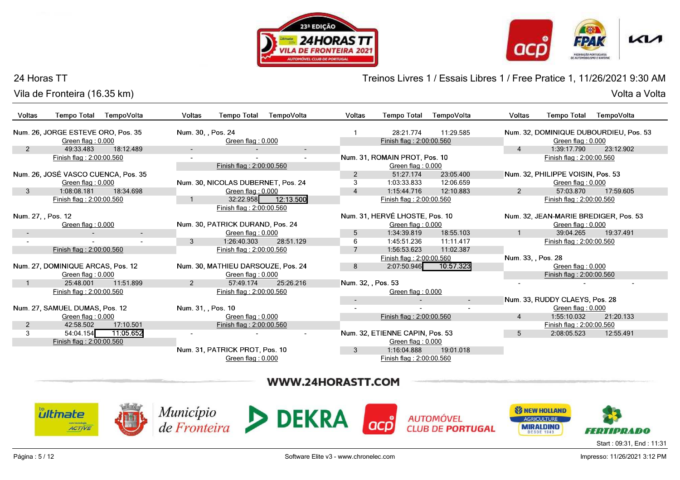





#### 24 Horas TT

Vila de Fronteira (16.35 km)

Treinos Livres 1 / Essais Libres 1 / Free Pratice 1, 11/26/2021 9:30 AM

|                          | Vila de Fronteira (16.35 km)        |            |                          |                                    |                          |                          |                                 |                          |                    |                                       | Volta a Volta                          |
|--------------------------|-------------------------------------|------------|--------------------------|------------------------------------|--------------------------|--------------------------|---------------------------------|--------------------------|--------------------|---------------------------------------|----------------------------------------|
| Voltas                   | <b>Tempo Total</b>                  | TempoVolta | Voltas                   | <b>Tempo Total</b>                 | TempoVolta               | Voltas                   | <b>Tempo Total</b>              | TempoVolta               | <b>Voltas</b>      | <b>Tempo Total</b>                    | TempoVolta                             |
|                          | Num. 26, JORGE ESTEVE ORO, Pos. 35  |            | Num. 30, , Pos. 24       |                                    |                          |                          | 28:21.774                       | 11:29.585                |                    |                                       | Num. 32, DOMINIQUE DUBOURDIEU, Pos. 53 |
|                          | Green flag: 0.000                   |            |                          | Green flag: 0.000                  |                          |                          | Finish flag: 2:00:00.560        |                          |                    | Green flag: 0.000                     |                                        |
| $\overline{2}$           | 49:33.483                           | 18:12.489  | $\sim$                   |                                    | $\overline{\phantom{a}}$ |                          |                                 |                          | $\overline{4}$     | 1:39:17.790                           | 23:12.902                              |
|                          | Finish flag: 2:00:00.560            |            | $\overline{\phantom{a}}$ |                                    | $\sim$                   |                          | Num. 31, ROMAIN PROT, Pos. 10   |                          |                    | Finish flag: 2:00:00.560              |                                        |
|                          |                                     |            |                          | Finish flag: 2:00:00.560           |                          |                          | Green flag: 0.000               |                          |                    |                                       |                                        |
|                          | Num. 26, JOSÉ VASCO CUENCA, Pos. 35 |            |                          |                                    |                          | $\overline{2}$           | 51:27.174                       | 23:05.400                |                    | Num. 32, PHILIPPE VOISIN, Pos. 53     |                                        |
|                          | Green flag: 0.000                   |            |                          | Num. 30, NICOLAS DUBERNET, Pos. 24 |                          | 3                        | 1:03:33.833                     | 12:06.659                |                    | Green flag: 0.000                     |                                        |
| 3                        | 1:08:08.181                         | 18:34.698  |                          | Green flag: 0.000                  |                          | 4                        | 1:15:44.716                     | 12:10.883                | $\overline{2}$     | 57:03.870                             | 17:59.605                              |
|                          | Finish flag: 2:00:00.560            |            |                          | Finish flag: 2:00:00.560           | 32:22.958 12:13.500      |                          | Finish flag: 2:00:00.560        |                          |                    | Finish flag: 2:00:00.560              |                                        |
| Num. 27, , Pos. 12       |                                     |            |                          |                                    |                          |                          | Num. 31, HERVÉ LHOSTE, Pos. 10  |                          |                    | Num. 32, JEAN-MARIE BREDIGER, Pos. 53 |                                        |
|                          | Green flag: 0.000                   |            |                          | Num. 30, PATRICK DURAND, Pos. 24   |                          |                          | Green flag: 0.000               |                          |                    | Green flag: 0.000                     |                                        |
| $\overline{\phantom{a}}$ |                                     | $\sim$     |                          | Green flag: 0.000                  |                          | 5                        | 1:34:39.819                     | 18:55.103                |                    | 39:04.265                             | 19:37.491                              |
|                          |                                     |            | 3                        | 1:26:40.303                        | 28:51.129                | 6                        | 1:45:51.236                     | 11:11.417                |                    | Finish flag: 2:00:00.560              |                                        |
|                          | Finish flag: 2:00:00.560            |            |                          | Finish flag: 2:00:00.560           |                          | $\overline{7}$           | 1:56:53.623                     | 11:02.387                |                    |                                       |                                        |
|                          |                                     |            |                          |                                    |                          |                          | Finish flag: 2:00:00.560        |                          | Num. 33, , Pos. 28 |                                       |                                        |
|                          | Num. 27, DOMINIQUE ARCAS, Pos. 12   |            |                          | Num. 30, MATHIEU DARSOUZE, Pos. 24 |                          | 8                        | 2:07:50.946                     | 10:57.323                |                    | Green flag: 0.000                     |                                        |
|                          | Green flag: 0.000                   |            |                          | Green flag: 0.000                  |                          |                          |                                 |                          |                    | Finish flag: 2:00:00.560              |                                        |
|                          | 25:48.001                           | 11:51.899  | $\overline{2}$           | 57:49.174                          | 25:26.216                | Num. 32, , Pos. 53       |                                 |                          |                    |                                       |                                        |
|                          | Finish flag: 2:00:00.560            |            |                          | Finish flag: 2:00:00.560           |                          |                          | Green flag: 0.000               |                          |                    |                                       |                                        |
|                          |                                     |            |                          |                                    |                          | $\overline{\phantom{a}}$ |                                 | $\overline{\phantom{a}}$ |                    | Num. 33, RUDDY CLAEYS, Pos. 28        |                                        |
|                          | Num. 27, SAMUEL DUMAS, Pos. 12      |            | Num. 31, , Pos. 10       |                                    |                          |                          |                                 |                          |                    | Green flag: 0.000                     |                                        |
|                          | Green flag: 0.000                   |            |                          | Green flag: 0.000                  |                          |                          | Finish flag: 2:00:00.560        |                          | $\overline{4}$     | 1:55:10.032                           | 21:20.133                              |
| $\overline{2}$           | 42:58.502                           | 17:10.501  |                          | Finish flag: 2:00:00.560           |                          |                          |                                 |                          |                    | Finish flag: 2:00:00.560              |                                        |
| 3                        | 54:04.154                           | 11:05.652  |                          |                                    |                          |                          | Num. 32, ETIENNE CAPIN, Pos. 53 |                          | 5                  | 2:08:05.523                           | 12:55.491                              |
|                          | Finish flag: 2:00:00.560            |            |                          |                                    |                          |                          | Green flag: 0.000               |                          |                    |                                       |                                        |
|                          |                                     |            |                          | Num. 31, PATRICK PROT, Pos. 10     |                          | $\mathbf{3}$             | 1:16:04.888                     | 19:01.018                |                    |                                       |                                        |
|                          |                                     |            |                          | Green flag: 0.000                  |                          |                          | Finish flag: 2:00:00.560        |                          |                    |                                       |                                        |

# WWW.24HORASTT.COM









**AUTOMÓVEL CLUB DE PORTUGAL** 

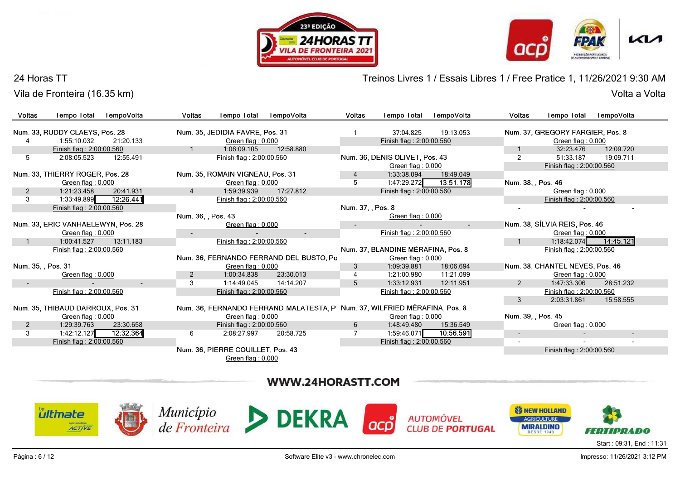





## 24 Horas TT

Vila de Fronteira (16.35 km)Volta a Volta

Treinos Livres 1 / Essais Libres 1 / Free Pratice 1, 11/26/2021 9:30 AM

| Voltas             | <b>Tempo Total</b>                 | TempoVolta             | Voltas             | <b>Tempo Total</b>                | TempoVolta                                                                | <b>Voltas</b>     | <b>Tempo Total</b>                 | TempoVolta               | Voltas                   | <b>Tempo Total</b>               | TempoVolta |
|--------------------|------------------------------------|------------------------|--------------------|-----------------------------------|---------------------------------------------------------------------------|-------------------|------------------------------------|--------------------------|--------------------------|----------------------------------|------------|
|                    | Num. 33, RUDDY CLAEYS, Pos. 28     |                        |                    | Num. 35, JEDIDIA FAVRE, Pos. 31   |                                                                           |                   | 37:04.825                          | 19:13.053                |                          | Num. 37, GREGORY FARGIER, Pos. 8 |            |
|                    | 1:55:10.032                        | 21:20.133              |                    | Green flag: 0.000                 |                                                                           |                   | Finish flag: 2:00:00.560           |                          |                          | Green flag: 0.000                |            |
|                    | Finish flag: 2:00:00.560           |                        |                    | 1:06:09.105                       | 12:58.880                                                                 |                   |                                    |                          |                          | 32:23.476                        | 12:09.720  |
| 5                  | 2:08:05.523                        | 12:55.491              |                    | Finish flag: 2:00:00.560          |                                                                           |                   | Num. 36, DENIS OLIVET, Pos. 43     |                          | $\overline{2}$           | 51:33.187                        | 19:09.711  |
|                    |                                    |                        |                    |                                   |                                                                           |                   | Green flag: 0.000                  |                          |                          | Finish flag: 2:00:00.560         |            |
|                    | Num. 33. THIERRY ROGER, Pos. 28    |                        |                    | Num. 35, ROMAIN VIGNEAU, Pos. 31  |                                                                           |                   | 1:33:38.094                        | 18:49.049                |                          |                                  |            |
|                    | Green flag: 0.000                  |                        |                    | Green flag: $0.000$               |                                                                           | 5                 | 1:47:29.272                        | 13:51.178                | Num. 38, , Pos. 46       |                                  |            |
| 2                  | 1:21:23.458                        | 20:41.931              | 4                  | 1:59:39.939                       | 17:27.812                                                                 |                   | Finish flag: 2:00:00.560           |                          |                          | Green flag: 0.000                |            |
| 3                  | 1:33:49.899                        | 12:26.441              |                    | Finish flag: 2:00:00.560          |                                                                           |                   |                                    |                          |                          | Finish flag: 2:00:00.560         |            |
|                    | Finish flag: 2:00:00.560           |                        |                    |                                   |                                                                           | Num. 37, , Pos. 8 |                                    |                          |                          |                                  |            |
|                    |                                    |                        | Num. 36, , Pos. 43 |                                   |                                                                           |                   | Green flag: 0.000                  |                          |                          |                                  |            |
|                    | Num. 33, ERIC VANHAELEWYN, Pos. 28 |                        |                    | Green flag: 0.000                 |                                                                           |                   |                                    | $\overline{\phantom{a}}$ |                          | Num. 38, SÍLVIA REIS, Pos. 46    |            |
|                    | Green flag: 0.000                  |                        |                    |                                   | $\sim$                                                                    |                   | Finish flag: 2:00:00.560           |                          |                          | Green flag: 0.000                |            |
|                    | 1:00:41.527                        | 13:11.183              |                    | Finish flag: 2:00:00.560          |                                                                           |                   |                                    |                          |                          | 1:18:42.074                      | 14:45.121  |
|                    | Finish flag: 2:00:00.560           |                        |                    |                                   |                                                                           |                   | Num. 37, BLANDINE MÉRAFINA, Pos. 8 |                          |                          | Finish flag: 2:00:00.560         |            |
|                    |                                    |                        |                    |                                   | Num. 36, FERNANDO FERRAND DEL BUSTO, Po                                   |                   | Green flag: 0.000                  |                          |                          |                                  |            |
| Num. 35, , Pos. 31 |                                    |                        |                    | Green flag: 0.000                 |                                                                           | 3                 | 1:09:39.881                        | 18:06.694                |                          | Num. 38, CHANTEL NEVES, Pos. 46  |            |
|                    | Green flag: 0.000                  |                        | $\overline{2}$     | 1:00:34.838                       | 23:30.013                                                                 |                   | 1:21:00.980                        | 11:21.099                |                          | Green flag: 0.000                |            |
| $\sim$             |                                    | $\sim$                 | 3                  | 1:14:49.045                       | 14:14.207                                                                 | 5                 | 1:33:12.931                        | 12:11.951                | $\mathcal{P}$            | 1:47:33.306                      | 28:51.232  |
|                    | Finish flag: 2:00:00.560           |                        |                    | Finish flag: 2:00:00.560          |                                                                           |                   | Finish flag: 2:00:00.560           |                          |                          | Finish flag: 2:00:00.560         |            |
|                    |                                    |                        |                    |                                   |                                                                           |                   |                                    |                          | 3                        | 2:03:31.861                      | 15:58.555  |
|                    | Num. 35, THIBAUD DARROUX, Pos. 31  |                        |                    |                                   | Num. 36, FERNANDO FERRAND MALATESTA, P Num. 37, WILFRIED MÉRAFINA, Pos. 8 |                   |                                    |                          |                          |                                  |            |
|                    | Green flag: 0.000                  |                        |                    | Green flag: 0.000                 |                                                                           |                   | Green flag: 0.000                  |                          | Num. 39. , Pos. 45       |                                  |            |
| 2                  | 1:29:39.763                        | 23:30.658              |                    | Finish flag: 2:00:00.560          |                                                                           | 6                 | 1:48:49.480                        | 15:36.549                |                          | Green flag: 0.000                |            |
| 3                  | 1:42:12.127                        | $\overline{12:}32.364$ | 6                  | 2:08:27.997                       | 20:58.725                                                                 |                   | 1:59:46.071                        | 10:56.591                | $\overline{\phantom{a}}$ |                                  | $\sim$     |
|                    | Finish flag: 2:00:00.560           |                        |                    |                                   |                                                                           |                   | Finish flag: 2:00:00.560           |                          | $\overline{\phantom{a}}$ |                                  |            |
|                    |                                    |                        |                    | Num. 36, PIERRE COUILLET, Pos. 43 |                                                                           |                   |                                    |                          |                          | Finish flag: 2:00:00.560         |            |
|                    |                                    |                        |                    | Green flag: 0.000                 |                                                                           |                   |                                    |                          |                          |                                  |            |
|                    |                                    |                        |                    |                                   |                                                                           |                   |                                    |                          |                          |                                  |            |

# WWW.24HORASTT.COM









**AUTOMÓVEL CLUB DE PORTUGAL** 



Start : 09:31, End : 11:31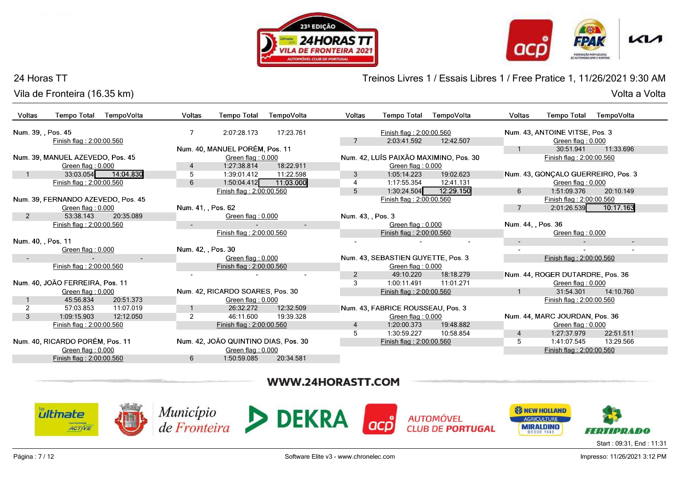





## 24 Horas TT

Vila de Fronteira (16.35 km)Volta a Volta

Treinos Livres 1 / Essais Libres 1 / Free Pratice 1, 11/26/2021 9:30 AM

| Voltas         | <b>Tempo Total</b>                 | TempoVolta          | <b>Voltas</b>      | <b>Tempo Total</b>                   | TempoVolta | <b>Voltas</b>     | <b>Tempo Total</b>                 | TempoVolta                             | Voltas             | <b>Tempo Total</b>                 | TempoVolta |
|----------------|------------------------------------|---------------------|--------------------|--------------------------------------|------------|-------------------|------------------------------------|----------------------------------------|--------------------|------------------------------------|------------|
|                | Num. 39, , Pos. 45                 |                     | 7                  | 2:07:28.173                          | 17:23.761  |                   | Finish flag: 2:00:00.560           |                                        |                    | Num. 43, ANTOINE VITSE, Pos. 3     |            |
|                | Finish flag: 2:00:00.560           |                     |                    |                                      |            |                   | 2:03:41.592                        | 12:42.507                              |                    | Green flag: 0.000                  |            |
|                |                                    |                     |                    | Num. 40, MANUEL PORÉM, Pos. 11       |            |                   |                                    |                                        |                    | 30:51.941                          | 11:33.696  |
|                | Num. 39, MANUEL AZEVEDO, Pos. 45   |                     |                    | Green flag: 0.000                    |            |                   |                                    | Num. 42, LUÍS PAIXÃO MAXIMINO, Pos. 30 |                    | Finish flag: 2:00:00.560           |            |
|                | Green flag: 0.000                  |                     | 4                  | 1:27:38.814                          | 18:22.911  |                   | Green flag: 0.000                  |                                        |                    |                                    |            |
|                |                                    | 33:03.054 14:04.830 | 5                  | 1:39:01.412                          | 11:22.598  | 3                 | 1:05:14.223                        | 19:02.623                              |                    | Num. 43, GONCALO GUERREIRO, Pos. 3 |            |
|                | Finish flag: 2:00:00.560           |                     | 6                  | 1:50:04.412                          | 11:03.000  | $\overline{4}$    | 1:17:55.354                        | 12:41.131                              |                    | Green flag: 0.000                  |            |
|                |                                    |                     |                    | Finish flag: 2:00:00.560             |            | $\overline{5}$    | 1:30:24.504                        | 12:29.150                              | 6                  | 1:51:09.376                        | 20:10.149  |
|                | Num. 39. FERNANDO AZEVEDO, Pos. 45 |                     |                    |                                      |            |                   | Finish flag: 2:00:00.560           |                                        |                    | Finish flag: 2:00:00.560           |            |
|                | Green flag: 0.000                  |                     | Num. 41. , Pos. 62 |                                      |            |                   |                                    |                                        |                    | 2:01:26.539                        | 10:17.163  |
| $\overline{2}$ | 53:38.143                          | 20:35.089           |                    | Green flag: 0.000                    |            | Num. 43, , Pos. 3 |                                    |                                        |                    |                                    |            |
|                | Finish flag: 2:00:00.560           |                     |                    |                                      | $\sim$     |                   | Green flag: 0.000                  |                                        | Num. 44, , Pos. 36 |                                    |            |
|                |                                    |                     |                    | Finish flag: 2:00:00.560             |            |                   | Finish flag: 2:00:00.560           |                                        |                    | Green flag: 0.000                  |            |
|                | Num. 40, , Pos. 11                 |                     |                    |                                      |            |                   |                                    |                                        | $\sim$             |                                    | $\sim$     |
|                | Green flag: 0.000                  |                     | Num. 42, , Pos. 30 |                                      |            |                   |                                    |                                        |                    |                                    |            |
| $\sim$         |                                    | $\sim$              |                    | Green flag: 0.000                    |            |                   | Num. 43, SEBASTIEN GUYETTE, Pos. 3 |                                        |                    | Finish flag: 2:00:00.560           |            |
|                | Finish flag: 2:00:00.560           |                     |                    | Finish flag: 2:00:00.560             |            |                   | Green flag: 0.000                  |                                        |                    |                                    |            |
|                |                                    |                     |                    |                                      |            | $\overline{2}$    | 49:10.220                          | 18:18.279                              |                    | Num. 44, ROGER DUTARDRE, Pos. 36   |            |
|                | Num. 40, JOÃO FERREIRA, Pos. 11    |                     |                    |                                      |            | 3                 | 1:00:11.491                        | 11:01.271                              |                    | Green flag: $0.000$                |            |
|                | Green flag: 0.000                  |                     |                    | Num. 42, RICARDO SOARES, Pos. 30     |            |                   | Finish flag: 2:00:00.560           |                                        |                    | 31:54.301                          | 14:10.760  |
|                | 45:56.834                          | 20:51.373           |                    | Green flag: 0.000                    |            |                   |                                    |                                        |                    | Finish flag: 2:00:00.560           |            |
| 2              | 57:03.853                          | 11:07.019           |                    | 26:32.272                            | 12:32.509  |                   | Num. 43, FABRICE ROUSSEAU, Pos. 3  |                                        |                    |                                    |            |
| 3              | 1:09:15.903                        | 12:12.050           | 2                  | 46:11.600                            | 19:39.328  |                   | Green flag: 0.000                  |                                        |                    | Num. 44, MARC JOURDAN, Pos. 36     |            |
|                | Finish flag: 2:00:00.560           |                     |                    | Finish flag: 2:00:00.560             |            | $\overline{4}$    | 1:20:00.373                        | 19:48.882                              |                    | Green flag: 0.000                  |            |
|                |                                    |                     |                    |                                      |            | 5                 | 1:30:59.227                        | 10:58.854                              | $\overline{4}$     | 1:27:37.979                        | 22:51.511  |
|                | Num. 40, RICARDO PORÉM, Pos. 11    |                     |                    | Num. 42, JOÃO QUINTINO DIAS, Pos. 30 |            |                   | Finish flag: 2:00:00.560           |                                        | 5                  | 1:41:07.545                        | 13:29.566  |
|                | Green flag: 0.000                  |                     |                    | Green flag: 0.000                    |            |                   |                                    |                                        |                    | Finish flag: 2:00:00.560           |            |
|                | Finish flag: 2:00:00.560           |                     | 6                  | 1:50:59.085                          | 20:34.581  |                   |                                    |                                        |                    |                                    |            |

## WWW.24HORASTT.COM

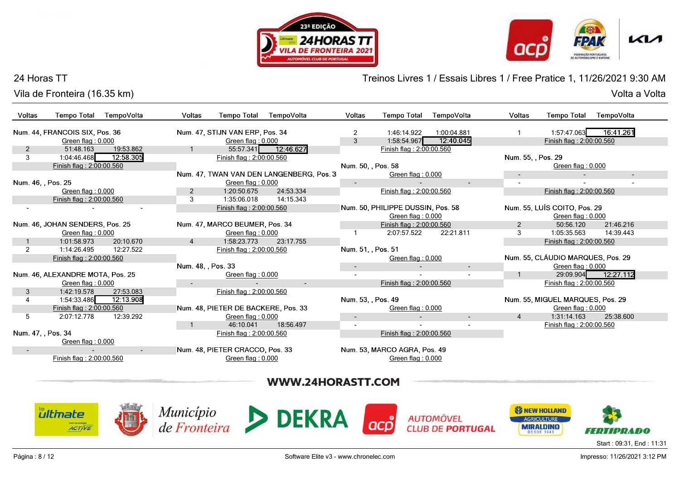





Treinos Livres 1 / Essais Libres 1 / Free Pratice 1, 11/26/2021 9:30 AM

#### 24 Horas TT

Vila de Fronteira (16.35 km)

Volta a Volta Volta a Volta

| <b>Voltas</b><br><b>Tempo Total</b> | TempoVolta                                           | Voltas             | <b>Tempo Total</b>                                     | TempoVolta                               | <b>Voltas</b>      | <b>Tempo Total</b>                                     | TempoVolta               | Voltas              | <b>Tempo Total</b>                                     | TempoVolta             |
|-------------------------------------|------------------------------------------------------|--------------------|--------------------------------------------------------|------------------------------------------|--------------------|--------------------------------------------------------|--------------------------|---------------------|--------------------------------------------------------|------------------------|
| Num. 44, FRANCOIS SIX, Pos. 36      | Green flag: 0.000                                    |                    | Num. 47. STIJN VAN ERP. Pos. 34<br>Green flag: 0.000   |                                          | 2<br>3             | 1:46:14.922<br>1:58:54.967                             | 1:00:04.881<br>12:40.045 |                     | 1:57:47.063<br>Finish flag: 2:00:00.560                | 16:41.261              |
| $\overline{2}$<br>3                 | 51:48.163<br>19:53.862<br>12:58.305<br>1:04:46.468   |                    | Finish flag: 2:00:00.560                               | 55:57.341 12:46.627                      |                    | Finish flag: 2:00:00.560                               |                          |                     | Num. 55, , Pos. 29                                     |                        |
|                                     | Finish flag: 2:00:00.560                             |                    |                                                        |                                          | Num. 50, , Pos. 58 |                                                        |                          |                     | Green flag: 0.000                                      |                        |
| Num. 46, , Pos. 25                  |                                                      |                    | Green flag: 0.000                                      | Num. 47. TWAN VAN DEN LANGENBERG, Pos. 3 |                    | Green flag: 0.000                                      |                          | $\sim$              | $\overline{\phantom{a}}$                               | $\sim$                 |
|                                     | Green flag: 0.000<br>Finish flag: 2:00:00.560        | 2<br>3             | 1:20:50.675<br>1:35:06.018                             | 24:53.334<br>14:15.343                   |                    | Finish flag: 2:00:00.560                               |                          |                     | Finish flag: 2:00:00.560                               |                        |
|                                     |                                                      |                    | Finish flag: 2:00:00.560                               |                                          |                    | Num. 50, PHILIPPE DUSSIN, Pos. 58<br>Green flag: 0.000 |                          |                     | Num. 55, LUÍS COITO, Pos. 29<br>Green flag: 0.000      |                        |
| Num. 46, JOHAN SENDERS, Pos. 25     | Green flag: 0.000                                    |                    | Num. 47, MARCO BEUMER, Pos. 34<br>Green flag: 0.000    |                                          |                    | Finish flag: 2:00:00.560<br>2:07:57.522                | 22:21.811                | $\overline{2}$<br>3 | 50:56.120<br>1:05:35.563                               | 21:46.216<br>14:39.443 |
|                                     | 1:01:58.973<br>20:10.670<br>12:27.522<br>1:14:26.495 |                    | 1:58:23.773<br>Finish flag: 2:00:00.560                | 23:17.755                                | Num. 51, Pos. 51   |                                                        |                          |                     | Finish flag: 2:00:00.560                               |                        |
|                                     | Finish flag: 2:00:00.560                             | Num. 48, , Pos. 33 |                                                        |                                          | $\sim$             | Green flag: 0.000                                      | $\sim$                   |                     | Num. 55, CLÁUDIO MARQUES, Pos. 29<br>Green flag: 0.000 |                        |
| Num. 46, ALEXANDRE MOTA, Pos. 25    | Green flag: 0.000                                    |                    | Green flag: 0.000                                      | $\sim$                                   |                    | Finish flag: 2:00:00.560                               |                          | $\mathbf{1}$        | Finish flag: 2:00:00.560                               | 29:09.904 12:27.112    |
| 3                                   | 1:42:19.578<br>27:53.083<br>1:54:33.486<br>12:13.908 |                    | Finish flag: 2:00:00.560                               |                                          | Num. 53, , Pos. 49 |                                                        |                          |                     | Num. 55, MIGUEL MARQUES, Pos. 29                       |                        |
|                                     | Finish flag: 2:00:00.560                             |                    | Num. 48, PIETER DE BACKERE, Pos. 33                    |                                          |                    | Green flag: 0.000                                      |                          |                     | Green flag: 0.000                                      | 25:38.600              |
| 5                                   | 2:07:12.778<br>12:39.292                             |                    | Green flag: $0.000$<br>46:10.041                       | 18:56.497                                | $\sim$<br>$\sim$   |                                                        | $\sim$                   | $\overline{4}$      | 1:31:14.163<br>Finish flag: 2:00:00.560                |                        |
| Num. 47, , Pos. 34                  | Green flag: 0.000                                    |                    | Finish flag: 2:00:00.560                               |                                          |                    | Finish flag: 2:00:00.560                               |                          |                     |                                                        |                        |
|                                     | Finish flag: 2:00:00.560                             | $\sim$             | Num. 48, PIETER CRACCO, Pos. 33<br>Green flag: $0.000$ |                                          |                    | Num. 53, MARCO AGRA, Pos. 49<br>Green flag: 0.000      |                          |                     |                                                        |                        |
|                                     |                                                      |                    |                                                        |                                          |                    |                                                        |                          |                     |                                                        |                        |

# WWW.24HORASTT.COM









**AUTOMÓVEL CLUB DE PORTUGAL** 

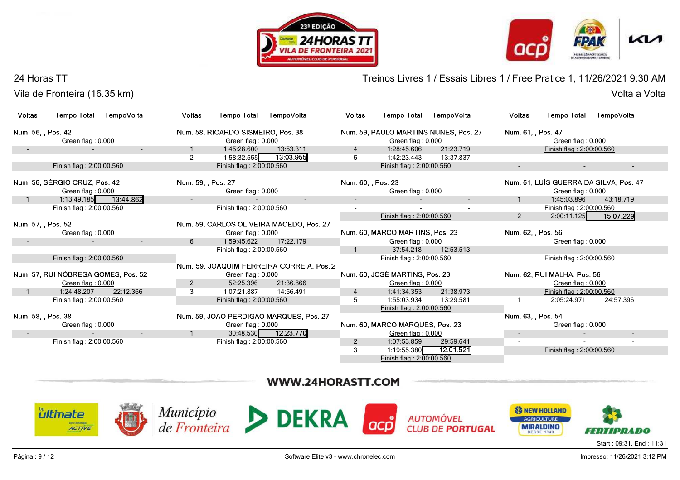





#### 24 Horas TT

Vila de Fronteira (16.35 km)

Treinos Livres 1 / Essais Libres 1 / Free Pratice 1, 11/26/2021 9:30 AM

| <b>Voltas</b>      | <b>Tempo Total</b>                                 | TempoVolta |                          | Voltas             | <b>Tempo Total</b>                 | TempoVolta                                | Voltas             | <b>Tempo Total</b>              | TempoVolta                            | Voltas             | <b>Tempo Total</b>                                          | TempoVolta     |
|--------------------|----------------------------------------------------|------------|--------------------------|--------------------|------------------------------------|-------------------------------------------|--------------------|---------------------------------|---------------------------------------|--------------------|-------------------------------------------------------------|----------------|
| Num. 56. , Pos. 42 |                                                    |            |                          |                    | Num. 58, RICARDO SISMEIRO, Pos. 38 |                                           |                    |                                 | Num. 59, PAULO MARTINS NUNES, Pos. 27 | Num. 61. , Pos. 47 |                                                             |                |
|                    | Green flag: $0.000$                                |            |                          |                    | Green flag: 0.000                  |                                           |                    | Green flag: 0.000               |                                       |                    | Green flag: 0.000                                           |                |
|                    |                                                    |            | $\sim$                   |                    | 1:45:28.600                        | 13:53.311                                 |                    | 1:28:45.606                     | 21:23.719                             |                    | Finish flag: 2:00:00.560                                    |                |
|                    |                                                    |            |                          | 2                  | 1:58:32.555                        | 13:03.955                                 | 5                  | 1:42:23.443                     | 13:37.837                             |                    |                                                             |                |
|                    | Finish flag: 2:00:00.560                           |            |                          |                    | Finish flag: 2:00:00.560           |                                           |                    | Finish flag: 2:00:00.560        |                                       | $\sim$             | $\sim$                                                      | $\blacksquare$ |
|                    | Num. 56, SÉRGIO CRUZ, Pos. 42<br>Green flag: 0.000 |            |                          | Num. 59. . Pos. 27 | Green flag: 0.000                  |                                           | Num. 60. . Pos. 23 | Green flag: 0.000               |                                       |                    | Num. 61, LUÍS GUERRA DA SILVA, Pos. 47<br>Green flag: 0.000 |                |
|                    | 1:13:49.185                                        | 13:44.862  |                          |                    |                                    | $\sim$                                    |                    |                                 |                                       |                    | 1:45:03.896                                                 | 43:18.719      |
|                    | Finish flag: 2:00:00.560                           |            |                          |                    | Finish flag: 2:00:00.560           |                                           |                    |                                 |                                       |                    | Finish flag: 2:00:00.560                                    |                |
|                    |                                                    |            |                          |                    |                                    |                                           |                    | Finish flag: 2:00:00.560        |                                       | $2^{\circ}$        | 2:00:11.125                                                 | 15:07.229      |
| Num. 57. , Pos. 52 |                                                    |            |                          |                    |                                    | Num. 59, CARLOS OLIVEIRA MACEDO, Pos. 27  |                    |                                 |                                       |                    |                                                             |                |
|                    | Green flag: 0.000                                  |            |                          |                    | Green flag: 0.000                  |                                           |                    | Num. 60, MARCO MARTINS, Pos. 23 |                                       | Num. 62, , Pos. 56 |                                                             |                |
|                    |                                                    |            | $\sim$                   | 6                  | 1:59:45.622                        | 17:22.179                                 |                    | Green flag: 0.000               |                                       |                    | Green flag: 0.000                                           |                |
|                    |                                                    |            | $\overline{\phantom{a}}$ |                    | Finish flag: 2:00:00.560           |                                           |                    | 37:54.218                       | 12:53.513                             | $\sim$             |                                                             | $\sim$         |
|                    | Finish flag: 2:00:00.560                           |            |                          |                    |                                    |                                           |                    | Finish flag: 2:00:00.560        |                                       |                    | Finish flag: 2:00:00.560                                    |                |
|                    |                                                    |            |                          |                    |                                    | Num. 59, JOAQUIM FERREIRA CORREIA, Pos. 2 |                    |                                 |                                       |                    |                                                             |                |
|                    | Num. 57, RUI NÓBREGA GOMES, Pos. 52                |            |                          |                    | Green flag: 0.000                  |                                           |                    | Num. 60, JOSÉ MARTINS, Pos. 23  |                                       |                    | Num. 62, RUI MALHA, Pos. 56                                 |                |
|                    | Green flag: 0.000                                  |            |                          | $\overline{2}$     | 52:25.396                          | 21:36.866                                 |                    | Green flag: 0.000               |                                       |                    | Green flag: $0.000$                                         |                |
| $\mathbf{1}$       | 1:24:48.207                                        | 22:12.366  |                          | 3                  | 1:07:21.887                        | 14:56.491                                 | 4                  | 1:41:34.353                     | 21:38.973                             |                    | Finish flag: 2:00:00.560                                    |                |
|                    | Finish flag: 2:00:00.560                           |            |                          |                    | Finish flag: 2:00:00.560           |                                           | 5                  | 1:55:03.934                     | 13:29.581                             |                    | 2:05:24.971                                                 | 24:57.396      |
|                    |                                                    |            |                          |                    |                                    |                                           |                    | Finish flag: 2:00:00.560        |                                       |                    |                                                             |                |
| Num. 58, , Pos. 38 |                                                    |            |                          |                    |                                    | Num. 59, JOÃO PERDIGÃO MARQUES, Pos. 27   |                    |                                 |                                       | Num. 63, , Pos. 54 |                                                             |                |
|                    | Green flag: 0.000                                  |            |                          |                    | Green flag: 0.000                  |                                           |                    | Num. 60, MARCO MARQUES, Pos. 23 |                                       |                    | Green flag: 0.000                                           |                |
|                    |                                                    |            | $\sim$                   |                    |                                    | 30:48.530 12:23.770                       |                    | Green flag: 0.000               |                                       | $\sim$             |                                                             | $\blacksquare$ |
|                    | Finish flag: 2:00:00.560                           |            |                          |                    | Finish flag: 2:00:00.560           |                                           | $\overline{2}$     | 1:07:53.859                     | 29:59.641                             |                    |                                                             |                |
|                    |                                                    |            |                          |                    |                                    |                                           | 3                  | 1:19:55.380                     | 12:01.521                             |                    | Finish flag: 2:00:00.560                                    |                |
|                    |                                                    |            |                          |                    |                                    |                                           |                    | Finish flag: 2:00:00.560        |                                       |                    |                                                             |                |

Volta a Volta

# WWW.24HORASTT.COM

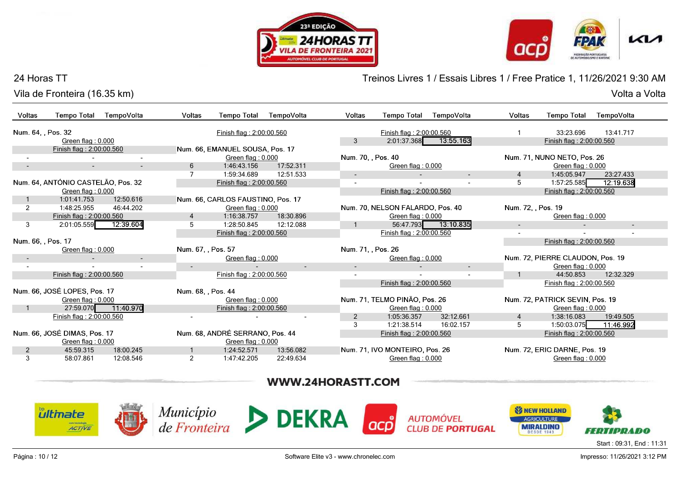





#### 24 Horas TT

Vila de Fronteira (16.35 km)Volta a Volta

Treinos Livres 1 / Essais Libres 1 / Free Pratice 1, 11/26/2021 9:30 AM

| Voltas                   | <b>Tempo Total</b>                 | TempoVolta          | <b>Voltas</b>      | <b>Tempo Total</b>                | TempoVolta | Voltas             | <b>Tempo Total</b>               | TempoVolta          | Voltas             | <b>Tempo Total</b>               | TempoVolta |  |
|--------------------------|------------------------------------|---------------------|--------------------|-----------------------------------|------------|--------------------|----------------------------------|---------------------|--------------------|----------------------------------|------------|--|
| Num. 64, , Pos. 32       |                                    |                     |                    | Finish flag: 2:00:00.560          |            |                    | Finish flag: 2:00:00.560         |                     |                    | 33:23.696                        | 13:41.717  |  |
|                          | Green flag: 0.000                  |                     |                    |                                   |            | 3                  | 2:01:37.368                      | 13:55.163           |                    | Finish flag: 2:00:00.560         |            |  |
|                          | Finish flag: 2:00:00.560           |                     |                    | Num. 66, EMANUEL SOUSA, Pos. 17   |            |                    |                                  |                     |                    |                                  |            |  |
|                          |                                    |                     |                    | Green flag: 0.000                 |            | Num. 70, , Pos. 40 |                                  |                     |                    | Num. 71, NUNO NETO, Pos. 26      |            |  |
|                          | $\sim$                             |                     | 6                  | 1:46:43.156                       | 17:52.311  |                    | Green flag: 0.000                |                     |                    | Green flag: 0.000                |            |  |
|                          |                                    |                     | $\overline{7}$     | 1:59:34.689                       | 12:51.533  | $\sim$             |                                  | $\sim$              | $\overline{4}$     | 1:45:05.947                      | 23:27.433  |  |
|                          | Num. 64, ANTÓNIO CASTELÃO, Pos. 32 |                     |                    | Finish flag: 2:00:00.560          |            | $\sim$             |                                  |                     | 5                  | 1:57:25.585                      | 12:19.638  |  |
|                          | Green flag: 0.000                  |                     |                    |                                   |            |                    | Finish flag: 2:00:00.560         |                     |                    | Finish flag: 2:00:00.560         |            |  |
|                          | 1:01:41.753                        | 12:50.616           |                    | Num. 66, CARLOS FAUSTINO, Pos. 17 |            |                    |                                  |                     |                    |                                  |            |  |
| 2                        | 1:48:25.955                        | 46:44.202           |                    | Green flag: $0.000$               |            |                    | Num. 70, NELSON FALARDO, Pos. 40 |                     | Num. 72, , Pos. 19 |                                  |            |  |
|                          | Finish flag: 2:00:00.560           |                     | 4                  | 1:16:38.757                       | 18:30.896  |                    | Green flag: 0.000                |                     |                    | Green flag: 0.000                |            |  |
| 3                        | 2:01:05.559                        | 12:39.604           | 5                  | 1:28:50.845                       | 12:12.088  |                    |                                  | 56:47.793 13:10.835 | $\sim$             |                                  | $\sim$     |  |
|                          |                                    |                     |                    | Finish flag: 2:00:00.560          |            |                    | Finish flag: 2:00:00.560         |                     |                    |                                  |            |  |
| Num. 66. . Pos. 17       |                                    |                     |                    |                                   |            |                    |                                  |                     |                    | Finish flag: 2:00:00.560         |            |  |
|                          | Green flag: $0.000$                |                     | Num. 67, , Pos. 57 |                                   |            | Num. 71, , Pos. 26 |                                  |                     |                    |                                  |            |  |
| $\overline{\phantom{a}}$ |                                    | $\sim$              |                    | Green flag: 0.000                 |            |                    | Green flag: 0.000                |                     |                    | Num. 72, PIERRE CLAUDON, Pos. 19 |            |  |
|                          |                                    |                     | $\sim$             |                                   | $\sim$     | $\sim$             |                                  | $\sim$              |                    | Green flag: 0.000                |            |  |
|                          | Finish flag: 2:00:00.560           |                     |                    | Finish flag: 2:00:00.560          |            |                    |                                  |                     |                    | 44:50.853                        | 12:32.329  |  |
|                          |                                    |                     |                    |                                   |            |                    | Finish flag: 2:00:00.560         |                     |                    | Finish flag: 2:00:00.560         |            |  |
|                          | Num. 66, JOSÉ LOPES, Pos. 17       |                     | Num. 68, , Pos. 44 |                                   |            |                    |                                  |                     |                    |                                  |            |  |
|                          | Green flag: 0.000                  |                     |                    | Green flag: 0.000                 |            |                    | Num. 71, TELMO PINÃO, Pos. 26    |                     |                    | Num. 72, PATRICK SEVIN, Pos. 19  |            |  |
|                          |                                    | 27:59.070 11:40.970 |                    | Finish flag: 2:00:00.560          |            |                    | Green flag: 0.000                |                     |                    | Green flag: 0.000                |            |  |
|                          | Finish flag: 2:00:00.560           |                     |                    |                                   |            | 2                  | 1:05:36.357                      | 32:12.661           | 4                  | 1:38:16.083                      | 19:49.505  |  |
|                          |                                    |                     |                    |                                   |            | 3                  | 1:21:38.514                      | 16:02.157           | 5                  | 1:50:03.075                      | 11:46.992  |  |
|                          | Num. 66, JOSÉ DIMAS, Pos. 17       |                     |                    | Num. 68, ANDRÉ SERRANO, Pos. 44   |            |                    | Finish flag: 2:00:00.560         |                     |                    | Finish flag: 2:00:00.560         |            |  |
|                          | Green flag: 0.000                  |                     |                    | Green flag: 0.000                 |            |                    |                                  |                     |                    |                                  |            |  |
| 2                        | 45:59.315                          | 18:00.245           |                    | 1:24:52.571                       | 13:56.082  |                    | Num. 71, IVO MONTEIRO, Pos. 26   |                     |                    | Num. 72, ERIC DARNE, Pos. 19     |            |  |
| 3                        | 58:07.861                          | 12:08.546           | $\overline{2}$     | 1:47:42.205                       | 22:49.634  |                    | Green flag: 0.000                |                     |                    | Green flag: 0.000                |            |  |

# WWW.24HORASTT.COM

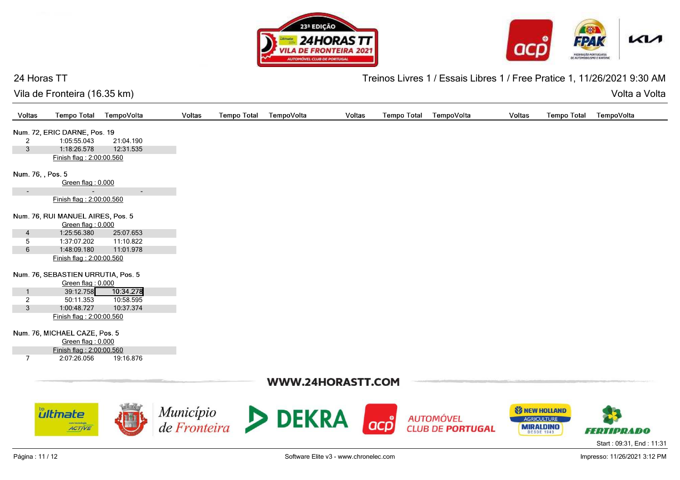





## 24 Horas TT

Treinos Livres 1 / Essais Libres 1 / Free Pratice 1, 11/26/2021 9:30 AM

| Vila de Fronteira (16.35 km) |  |  |
|------------------------------|--|--|
|------------------------------|--|--|

Volta a Volta Volta a Volta

| Voltas            | <b>Tempo Total</b>                 | TempoVolta | Voltas | <b>Tempo Total</b><br>TempoVolta                      | Voltas            | <b>Tempo Total</b> | TempoVolta              | <b>Tempo Total</b><br>Voltas | TempoVolta               |
|-------------------|------------------------------------|------------|--------|-------------------------------------------------------|-------------------|--------------------|-------------------------|------------------------------|--------------------------|
|                   | Num. 72, ERIC DARNE, Pos. 19       |            |        |                                                       |                   |                    |                         |                              |                          |
| $\overline{2}$    | 1:05:55.043                        | 21:04.190  |        |                                                       |                   |                    |                         |                              |                          |
| $\mathbf{3}$      | 1:18:26.578                        | 12:31.535  |        |                                                       |                   |                    |                         |                              |                          |
|                   | Finish flag: 2:00:00.560           |            |        |                                                       |                   |                    |                         |                              |                          |
| Num. 76, , Pos. 5 |                                    |            |        |                                                       |                   |                    |                         |                              |                          |
|                   | Green flag: 0.000                  |            |        |                                                       |                   |                    |                         |                              |                          |
|                   |                                    | $\sim$     |        |                                                       |                   |                    |                         |                              |                          |
|                   | Finish flag: 2:00:00.560           |            |        |                                                       |                   |                    |                         |                              |                          |
|                   | Num. 76, RUI MANUEL AIRES, Pos. 5  |            |        |                                                       |                   |                    |                         |                              |                          |
|                   | Green flag: 0.000                  |            |        |                                                       |                   |                    |                         |                              |                          |
| 4                 | 1:25:56.380                        | 25:07.653  |        |                                                       |                   |                    |                         |                              |                          |
| $5\phantom{.0}$   | 1:37:07.202                        | 11:10.822  |        |                                                       |                   |                    |                         |                              |                          |
| $6\phantom{.}$    | 1:48:09.180                        | 11:01.978  |        |                                                       |                   |                    |                         |                              |                          |
|                   | Finish flag: 2:00:00.560           |            |        |                                                       |                   |                    |                         |                              |                          |
|                   | Num. 76, SEBASTIEN URRUTIA, Pos. 5 |            |        |                                                       |                   |                    |                         |                              |                          |
|                   | Green flag: 0.000                  |            |        |                                                       |                   |                    |                         |                              |                          |
| $\overline{1}$    | 39:12.758                          | 10:34.278  |        |                                                       |                   |                    |                         |                              |                          |
| $\overline{2}$    | 50:11.353                          | 10:58.595  |        |                                                       |                   |                    |                         |                              |                          |
| $\mathfrak{S}$    | 1:00:48.727                        | 10:37.374  |        |                                                       |                   |                    |                         |                              |                          |
|                   | Finish flag: 2:00:00.560           |            |        |                                                       |                   |                    |                         |                              |                          |
|                   | Num. 76, MICHAEL CAZE, Pos. 5      |            |        |                                                       |                   |                    |                         |                              |                          |
|                   | Green flag: 0.000                  |            |        |                                                       |                   |                    |                         |                              |                          |
|                   | Finish flag: 2:00:00.560           |            |        |                                                       |                   |                    |                         |                              |                          |
| $\overline{7}$    | 2:07:26.056                        | 19:16.876  |        |                                                       |                   |                    |                         |                              |                          |
|                   |                                    |            |        |                                                       | WWW.24HORASTT.COM |                    |                         |                              |                          |
|                   |                                    |            |        |                                                       |                   |                    |                         |                              |                          |
|                   |                                    |            |        |                                                       |                   |                    |                         | <b>SI NEW HOLLAND</b>        |                          |
|                   | <b><i><u>ultinate</u></i></b>      |            |        | $\text{Municipio}_{\text{de Fronteira}}$ <b>DEKRA</b> |                   |                    | <b>AUTOMÓVEL</b>        | <b>AGRICULTURE</b>           |                          |
|                   | com tecnologia<br><b>ACTIVE</b>    |            |        |                                                       | <b>acp</b>        |                    | <b>CLUB DE PORTUGAL</b> | <b>MIRALDINO</b>             |                          |
|                   |                                    |            |        |                                                       |                   |                    |                         |                              | <b>FERTIPRADO</b>        |
|                   |                                    |            |        |                                                       |                   |                    |                         |                              | Start: 09:31, End: 11:31 |